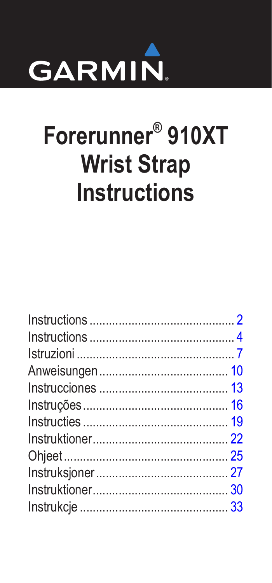

# Forerunner<sup>®</sup> 910XT **Wrist Strap Instructions**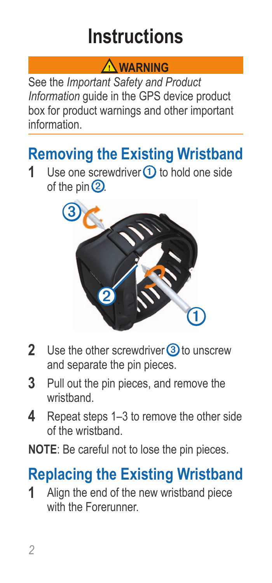## **Instructions**

#### **Warning**

<span id="page-1-0"></span>See the *Important Safety and Product Information* guide in the GPS device product box for product warnings and other important information.

# <span id="page-1-1"></span>**Removing the Existing Wristband**<br>**1** Use one screwdriver ① to hold one side

Use one screwdriver **1** to hold one side of the pin  $(2)$ .



- **2** Use the other screwdriver **3** to unscrew and separate the pin pieces.
- **3** Pull out the pin pieces, and remove the wristband.
- **4** Repeat steps 1–3 to remove the other side of the wristband.

**NOTE:** Be careful not to lose the pin pieces.

## **Replacing the Existing Wristband**

**1** Align the end of the new wristband piece with the Forerunner.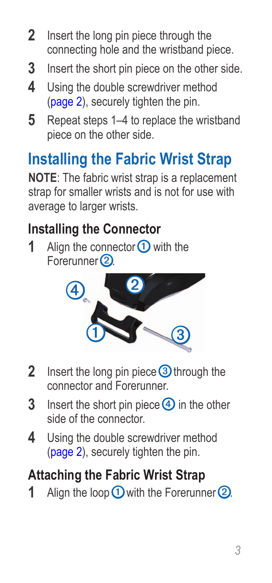- **2** Insert the long pin piece through the connecting hole and the wristband piece.
- **3** Insert the short pin piece on the other side.
- **4** Using the double screwdriver method [\(page](#page-1-1) 2), securely tighten the pin.
- **5** Repeat steps 1–4 to replace the wristband piece on the other side.

## **Installing the Fabric Wrist Strap**

**NOTE**: The fabric wrist strap is a replacement strap for smaller wrists and is not for use with average to larger wrists.

### **Installing the Connector**

**1** Align the connector  $\Omega$  with the Forerunner<sup>(2)</sup>.



- **2** Insert the long pin piece **3** through the connector and Forerunner.
- **3** Insert the short pin piece 4 in the other side of the connector.
- **4** Using the double screwdriver method [\(page](#page-1-1) 2), securely tighten the pin.

## **Attaching the Fabric Wrist Strap**

**1** Align the loop **①** with the Forerunner **②**.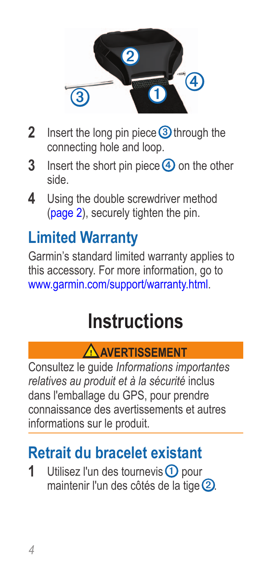<span id="page-3-0"></span>

- **2** Insert the long pin piece **3** through the connecting hole and loop.
- **3** Insert the short pin piece 4 on the other side.
- **4** Using the double screwdriver method [\(page](#page-1-1) 2), securely tighten the pin.

## **Limited Warranty**

Garmin's standard limited warranty applies to this accessory. For more information, go to <www.garmin.com/support/warranty.html>.

## **Instructions**

#### **Avertissement**

Consultez le guide *Informations importantes relatives au produit et à la sécurité* inclus dans l'emballage du GPS, pour prendre connaissance des avertissements et autres informations sur le produit.

## <span id="page-3-1"></span>**Retrait du bracelet existant**

**1** Utilisez l'un des tournevis **1** pour maintenir l'un des côtés de la tige 2.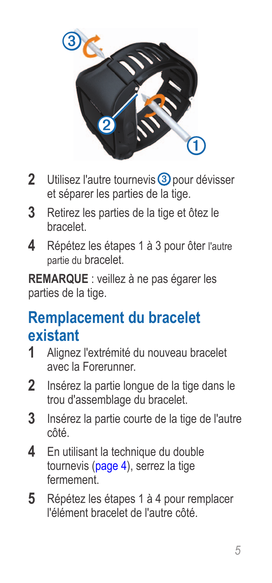

- 2 Utilisez l'autre tournevis 3 pour dévisser et séparer les parties de la tige.
- **3** Retirez les parties de la tige et ôtez le bracelet.
- **4** Répétez les étapes 1 à 3 pour ôter l'autre partie du bracelet

**Remarque** : veillez à ne pas égarer les parties de la tige.

### **Remplacement du bracelet existant**

- **1** Alignez l'extrémité du nouveau bracelet avec la Forerunner.
- **2** Insérez la partie longue de la tige dans le trou d'assemblage du bracelet.
- **3** Insérez la partie courte de la tige de l'autre côté.
- **4** En utilisant la technique du double tournevis ([page](#page-3-1) 4), serrez la tige fermement.
- **5** Répétez les étapes 1 à 4 pour remplacer l'élément bracelet de l'autre côté.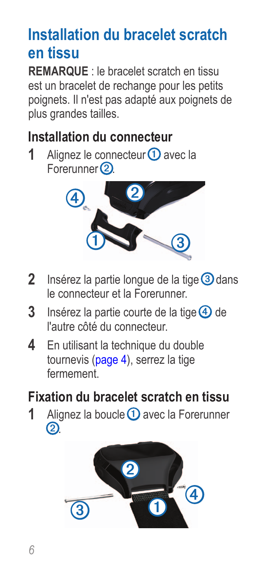## **Installation du bracelet scratch en tissu**

**REMARQUE** : le bracelet scratch en tissu est un bracelet de rechange pour les petits poignets. Il n'est pas adapté aux poignets de plus grandes tailles.

#### **Installation du connecteur**

**1** Alignez le connecteur **①** avec la Forerunner<sup>(2)</sup>



- 2 Insérez la partie longue de la tige 3 dans le connecteur et la Forerunner.
- **3** Insérez la partie courte de la tige 4 de l'autre côté du connecteur.
- **4** En utilisant la technique du double tournevis ([page](#page-3-1) 4), serrez la tige fermement.

#### **Fixation du bracelet scratch en tissu**

**1** Alignez la boucle **1** avec la Forerunner ➋.

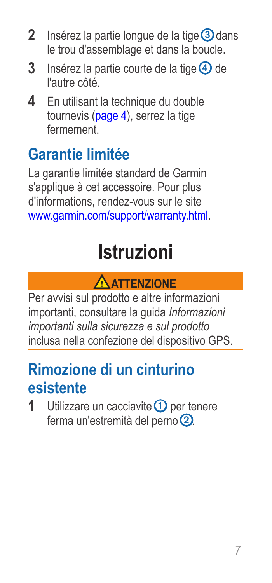- <span id="page-6-0"></span>**2** Insérez la partie longue de la tige 3 dans le trou d'assemblage et dans la boucle.
- **3** Insérez la partie courte de la tige 4 de l'autre côté.
- **4** En utilisant la technique du double tournevis ([page](#page-3-1) 4), serrez la tige fermement.

## **Garantie limitée**

La garantie limitée standard de Garmin s'applique à cet accessoire. Pour plus d'informations, rendez-vous sur le site <www.garmin.com/support/warranty.html>.

## **Istruzioni**



Per avvisi sul prodotto e altre informazioni importanti, consultare la guida *Informazioni importanti sulla sicurezza e sul prodotto* inclusa nella confezione del dispositivo GPS.

## <span id="page-6-1"></span>**Rimozione di un cinturino esistente**

**1** Utilizzare un cacciavite **1** per tenere ferma un'estremità del perno 2.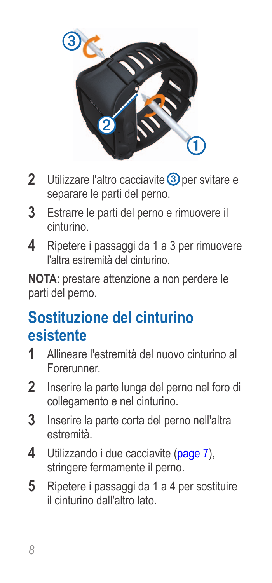

- 2 Utilizzare l'altro cacciavite **3** per svitare e separare le parti del perno.
- **3** Estrarre le parti del perno e rimuovere il cinturino.
- **4** Ripetere i passaggi da 1 a 3 per rimuovere l'altra estremità del cinturino.

**Nota**: prestare attenzione a non perdere le parti del perno.

## **Sostituzione del cinturino esistente**

- **1** Allineare l'estremità del nuovo cinturino al Forerunner.
- **2** Inserire la parte lunga del perno nel foro di collegamento e nel cinturino.
- **3** Inserire la parte corta del perno nell'altra estremità.
- **4** Utilizzando i due cacciavite ([page](#page-6-1) 7), stringere fermamente il perno.
- **5** Ripetere i passaggi da 1 a 4 per sostituire il cinturino dall'altro lato.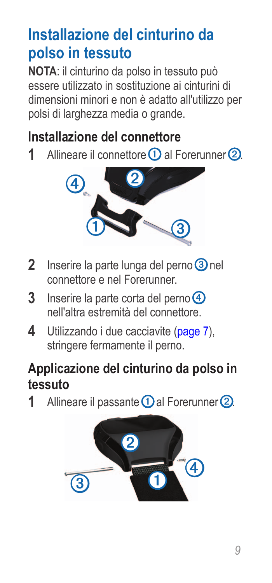## **Installazione del cinturino da polso in tessuto**

**NOTA**: il cinturino da polso in tessuto può essere utilizzato in sostituzione ai cinturini di dimensioni minori e non è adatto all'utilizzo per polsi di larghezza media o grande.

#### **Installazione del connettore**

**1** Allineare il connettore **①** al Forerunner **②** 



- **2** Inserire la parte lunga del perno **3** nel connettore e nel Forerunner.
- **3** Inserire la parte corta del perno **4** nell'altra estremità del connettore.
- **4** Utilizzando i due cacciavite ([page](#page-6-1) 7). stringere fermamente il perno.

#### **Applicazione del cinturino da polso in tessuto**

1 Allineare il passante **1** al Forerunner 2.

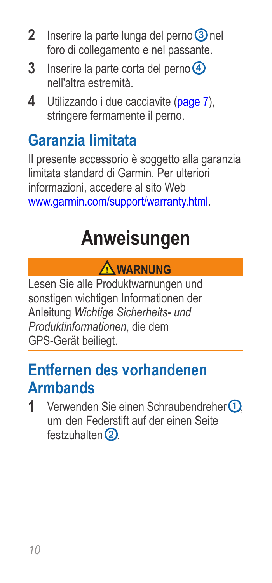- <span id="page-9-0"></span>**2** Inserire la parte lunga del perno **3** nel foro di collegamento e nel passante.
- **3** Inserire la parte corta del perno **4** nell'altra estremità.
- **4** Utilizzando i due cacciavite ([page](#page-6-1) 7), stringere fermamente il perno.

## **Garanzia limitata**

Il presente accessorio è soggetto alla garanzia limitata standard di Garmin. Per ulteriori informazioni, accedere al sito Web <www.garmin.com/support/warranty.html>.

## **Anweisungen**

#### **Warnung**

Lesen Sie alle Produktwarnungen und sonstigen wichtigen Informationen der Anleitung *Wichtige Sicherheits- und Produktinformationen*, die dem GPS-Gerät beiliegt.

### <span id="page-9-1"></span>**Entfernen des vorhandenen Armbands**

1 Verwenden Sie einen Schraubendreher ① um den Federstift auf der einen Seite festzuhalten $Q$ .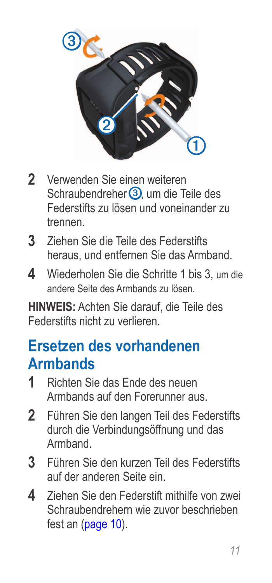

- **2** Verwenden Sie einen weiteren Schraubendreher 3 um die Teile des Federstifts zu lösen und voneinander zu trennen.
- **3** Ziehen Sie die Teile des Federstifts heraus, und entfernen Sie das Armband.
- **4** Wiederholen Sie die Schritte 1 bis 3, um die andere Seite des Armbands zu lösen.

**Hinweis:** Achten Sie darauf, die Teile des Federstifts nicht zu verlieren.

### **Ersetzen des vorhandenen Armbands**

- **1** Richten Sie das Ende des neuen Armbands auf den Forerunner aus.
- **2** Führen Sie den langen Teil des Federstifts durch die Verbindungsöffnung und das Armband.
- **3** Führen Sie den kurzen Teil des Federstifts auf der anderen Seite ein.
- **4** Ziehen Sie den Federstift mithilfe von zwei Schraubendrehern wie zuvor beschrieben fest an ([page](#page-9-1) 10).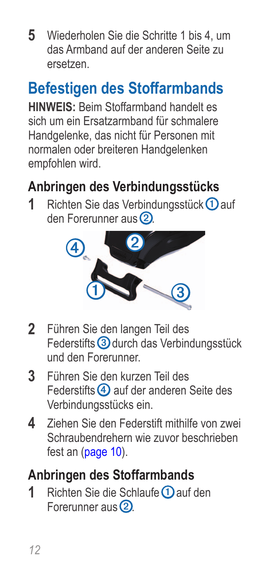**5** Wiederholen Sie die Schritte 1 bis 4, um das Armband auf der anderen Seite zu ersetzen.

## **Befestigen des Stoffarmbands**

**HINWEIS:** Beim Stoffarmband handelt es sich um ein Ersatzarmband für schmalere Handgelenke, das nicht für Personen mit normalen oder breiteren Handgelenken empfohlen wird.

### **Anbringen des Verbindungsstücks**

**1** Richten Sie das Verbindungsstück ① auf den Forerunner aus 2



- **2** Führen Sie den langen Teil des Federstifts 3 durch das Verbindungsstück und den Forerunner.
- **3** Führen Sie den kurzen Teil des Federstifts 4 auf der anderen Seite des Verbindungsstücks ein.
- **4** Ziehen Sie den Federstift mithilfe von zwei Schraubendrehern wie zuvor beschrieben fest an ([page](#page-9-1) 10).

#### **Anbringen des Stoffarmbands**

**1** Richten Sie die Schlaufe **D** auf den Forerunner aus 2.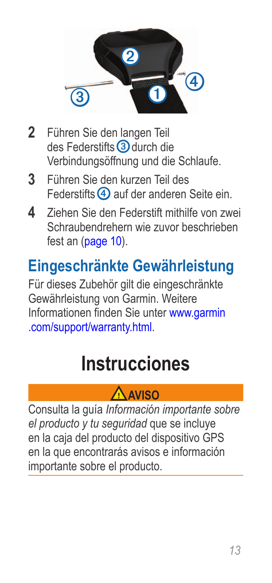<span id="page-12-0"></span>

- **2** Führen Sie den langen Teil des Federstifts 3 durch die Verbindungsöffnung und die Schlaufe.
- **3** Führen Sie den kurzen Teil des Federstifts 4 auf der anderen Seite ein.
- **4** Ziehen Sie den Federstift mithilfe von zwei Schraubendrehern wie zuvor beschrieben fest an ([page](#page-9-1) 10).

## **Eingeschränkte Gewährleistung**

Für dieses Zubehör gilt die eingeschränkte Gewährleistung von Garmin. Weitere Informationen finden Sie unter [www.garmin](www.garmin.com/support/warranty.html) [.com/support/warranty.html.](www.garmin.com/support/warranty.html)

## **Instrucciones**

#### **Aviso**

Consulta la guía *Información importante sobre el producto y tu seguridad* que se incluye en la caja del producto del dispositivo GPS en la que encontrarás avisos e información importante sobre el producto.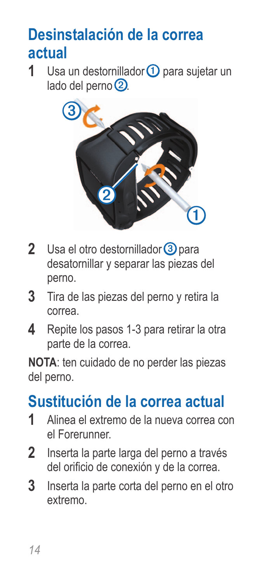## <span id="page-13-0"></span>**Desinstalación de la correa actual**

**1** Usa un destornillador **①** para sujetar un lado del perno 2.



- 2 Usa el otro destornillador 3 para desatornillar y separar las piezas del perno.
- **3** Tira de las piezas del perno y retira la correa.
- **4** Repite los pasos 1-3 para retirar la otra parte de la correa.

**NOTA:** ten cuidado de no perder las piezas del perno.

## **Sustitución de la correa actual**

- **1** Alinea el extremo de la nueva correa con el Forerunner.
- **2** Inserta la parte larga del perno a través del orificio de conexión y de la correa.
- **3** Inserta la parte corta del perno en el otro extremo.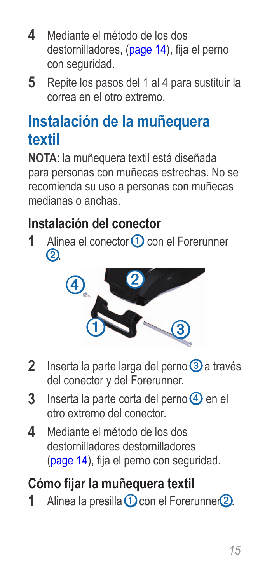- **4** Mediante el método de los dos destornilladores, [\(page](#page-13-0) 14), fija el perno con seguridad.
- **5** Repite los pasos del 1 al 4 para sustituir la correa en el otro extremo.

## **Instalación de la muñequera textil**

**NOTA**: la muñequera textil está diseñada para personas con muñecas estrechas. No se recomienda su uso a personas con muñecas medianas o anchas.

#### **Instalación del conector**

**1** Alinea el conector **1** con el Forerunner  $\Omega$ 



- 2 Inserta la parte larga del perno 3 a través del conector y del Forerunner.
- **3** Inserta la parte corta del perno **4** en el otro extremo del conector.
- **4** Mediante el método de los dos destornilladores destornilladores [\(page](#page-13-0) 14), fija el perno con seguridad.

#### **Cómo fijar la muñequera textil**

**1** Alinea la presilla **①** con el Forerunner2.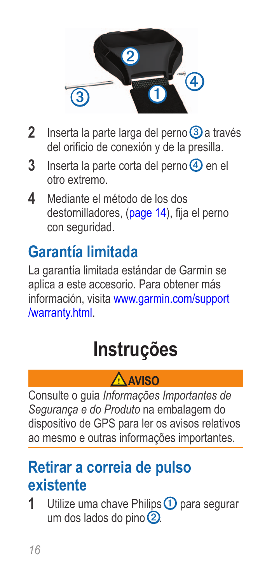<span id="page-15-0"></span>

- **2** Inserta la parte larga del perno **3** a través del orificio de conexión y de la presilla.
- **3** Inserta la parte corta del perno **4** en el otro extremo.
- **4** Mediante el método de los dos destornilladores, [\(page](#page-13-0) 14), fija el perno con seguridad.

## **Garantía limitada**

La garantía limitada estándar de Garmin se aplica a este accesorio. Para obtener más información, visita [www.garmin.com/support](www.garmin.com/support/warranty.html) [/warranty.html.](www.garmin.com/support/warranty.html)

## **Instruções**

#### **Aviso**

Consulte o guia *Informações Importantes de Segurança e do Produto* na embalagem do dispositivo de GPS para ler os avisos relativos ao mesmo e outras informações importantes.

### <span id="page-15-1"></span>**Retirar a correia de pulso existente**

**1** Utilize uma chave Philips **1** para segurar um dos lados do pino  $\overline{2}$ .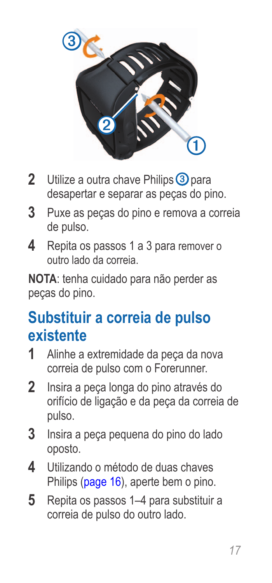

- **2** Utilize a outra chave Philips 3 para desapertar e separar as peças do pino.
- **3** Puxe as peças do pino e remova a correia de pulso.
- **4** Repita os passos 1 a 3 para remover o outro lado da correia.

**nota**: tenha cuidado para não perder as peças do pino.

## **Substituir a correia de pulso existente**

- **1** Alinhe a extremidade da peça da nova correia de pulso com o Forerunner.
- **2** Insira a peça longa do pino através do orifício de ligação e da peça da correia de pulso.
- **3** Insira a peça pequena do pino do lado oposto.
- **4** Utilizando o método de duas chaves Philips [\(page](#page-15-1) 16), aperte bem o pino.
- **5** Repita os passos 1–4 para substituir a correia de pulso do outro lado.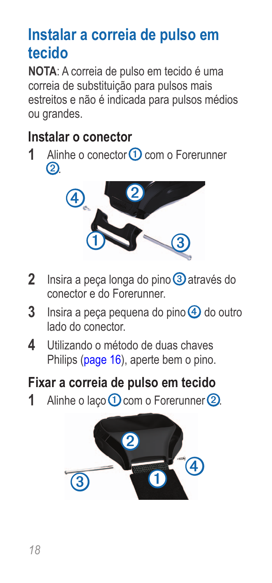## **Instalar a correia de pulso em tecido**

**NOTA**: A correia de pulso em tecido é uma correia de substituição para pulsos mais estreitos e não é indicada para pulsos médios ou grandes.

#### **Instalar o conector**

**1** Alinhe o conector **1** com o Forerunner  $\circled{2}$ 



- 2 Insira a peça longa do pino 3 através do conector e do Forerunner.
- **3** Insira a peça pequena do pino 4 do outro lado do conector.
- **4** Utilizando o método de duas chaves Philips [\(page](#page-15-1) 16), aperte bem o pino.

#### **Fixar a correia de pulso em tecido**

**1** Alinhe o laco **①** com o Forerunner **②**.

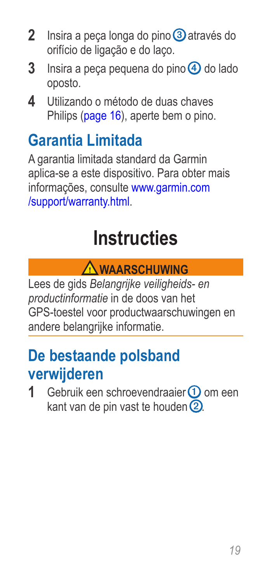- <span id="page-18-0"></span>**2** Insira a peça longa do pino **③** através do orifício de ligação e do laço.
- **3** Insira a peca pequena do pino  $\overline{4}$  do lado oposto.
- **4** Utilizando o método de duas chaves Philips [\(page](#page-15-1) 16), aperte bem o pino.

## **Garantia Limitada**

A garantia limitada standard da Garmin aplica-se a este dispositivo. Para obter mais informações, consulte [www.garmin.com](www.garmin.com/support/warranty.html) [/support/warranty.html](www.garmin.com/support/warranty.html).

## **Instructies**

### **Waarschuwing**

Lees de gids *Belangrijke veiligheids- en productinformatie* in de doos van het GPS-toestel voor productwaarschuwingen en andere belangrijke informatie.

### <span id="page-18-1"></span>**De bestaande polsband verwijderen**

**1** Gebruik een schroevendraaier **①** om een kant van de pin vast te houden  $\Omega$ .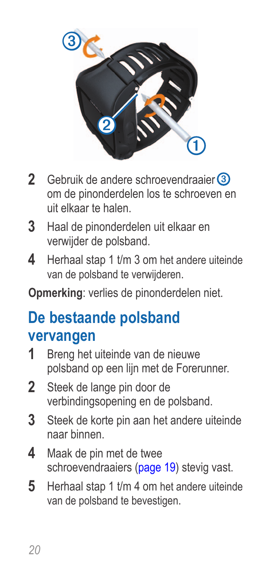

- 2 Gebruik de andere schroevendraaier **③** om de pinonderdelen los te schroeven en uit elkaar te halen.
- **3** Haal de pinonderdelen uit elkaar en verwijder de polsband.
- **4** Herhaal stap 1 t/m 3 om het andere uiteinde van de polsband te verwijderen.

**Opmerking**: verlies de pinonderdelen niet.

### **De bestaande polsband vervangen**

- **1** Breng het uiteinde van de nieuwe polsband op een lijn met de Forerunner.
- **2** Steek de lange pin door de verbindingsopening en de polsband.
- **3** Steek de korte pin aan het andere uiteinde naar binnen.
- **4** Maak de pin met de twee schroevendraaiers ([page](#page-18-1) 19) stevig vast.
- **5** Herhaal stap 1 t/m 4 om het andere uiteinde van de polsband te bevestigen.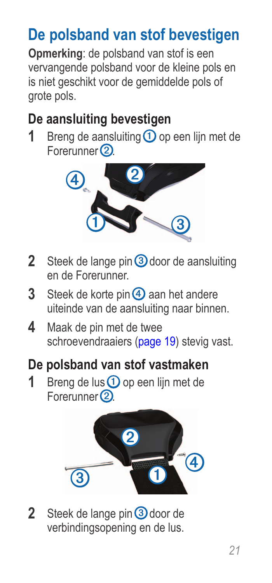## **De polsband van stof bevestigen**

**Opmerking**: de polsband van stof is een vervangende polsband voor de kleine pols en is niet geschikt voor de gemiddelde pols of grote pols.

#### **De aansluiting bevestigen**

**1** Breng de aansluiting **①** op een lijn met de Forerunner<sup>(2)</sup>



- **2** Steek de lange pin 3 door de aansluiting en de Forerunner.
- **3** Steek de korte pin 4 aan het andere uiteinde van de aansluiting naar binnen.
- **4** Maak de pin met de twee schroevendraaiers ([page](#page-18-1) 19) stevig vast.
- **De polsband van stof vastmaken**
- **1** Breng de lus **1** op een lijn met de Forerunner<sup>(2)</sup>.



2 Steek de lange pin 3 door de verbindingsopening en de lus.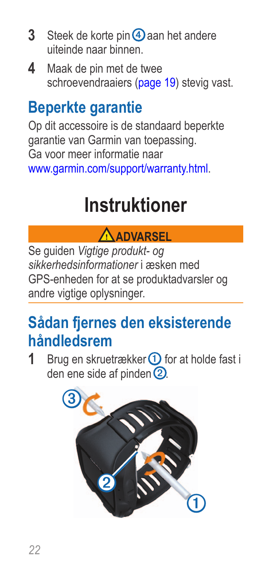- <span id="page-21-0"></span>**3** Steek de korte pin 4 aan het andere uiteinde naar binnen.
- **4** Maak de pin met de twee schroevendraaiers ([page](#page-18-1) 19) stevig vast.

## **Beperkte garantie**

Op dit accessoire is de standaard beperkte garantie van Garmin van toepassing. Ga voor meer informatie naar <www.garmin.com/support/warranty.html>.

## **Instruktioner**

#### **Advarsel**

Se guiden *Vigtige produkt- og sikkerhedsinformationer* i æsken med GPS-enheden for at se produktadvarsler og andre vigtige oplysninger.

## <span id="page-21-1"></span>**Sådan fjernes den eksisterende håndledsrem**

**1** Brug en skruetrækker **①** for at holde fast i den ene side af pinden 2.

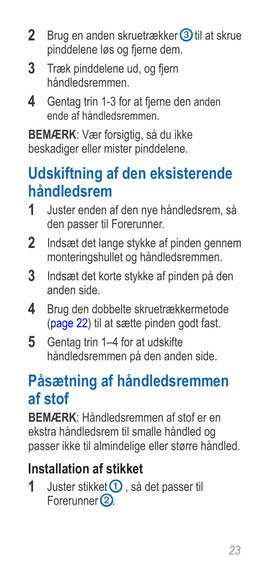- 2 Brug en anden skruetrækker 3 til at skrue pinddelene løs og fjerne dem.
- **3** Træk pinddelene ud, og fjern håndledsremmen.
- **4** Gentag trin 1-3 for at fjerne den anden ende af håndledsremmen.

**BEMÆRK:** Vær forsigtig, så du ikke beskadiger eller mister pinddelene.

### **Udskiftning af den eksisterende håndledsrem**

- **1** Juster enden af den nye håndledsrem, så den passer til Forerunner.
- **2** Indsæt det lange stykke af pinden gennem monteringshullet og håndledsremmen.
- **3** Indsæt det korte stykke af pinden på den anden side.
- **4** Brug den dobbelte skruetrækkermetode [\(page](#page-21-1) 22) til at sætte pinden godt fast.
- **5** Gentag trin 1–4 for at udskifte håndledsremmen på den anden side.

## **Påsætning af håndledsremmen af stof**

**BEMÆRK**: Håndledsremmen af stof er en ekstra håndledsrem til smalle håndled og passer ikke til almindelige eller større håndled.

#### **Installation af stikket**

**1** Juster stikket **①** . så det passer til Forerunner<sup>(2)</sup>.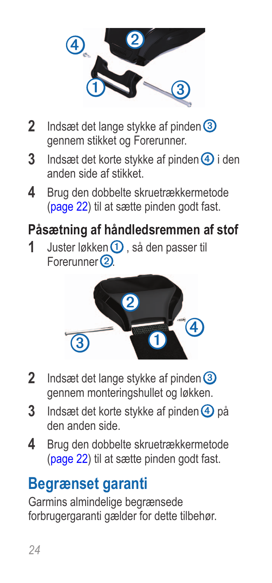

- **2** Indsæt det lange stykke af pinden **③** gennem stikket og Forerunner.
- **3** Indsæt det korte stykke af pinden **4** i den anden side af stikket.
- **4** Brug den dobbelte skruetrækkermetode [\(page](#page-21-1) 22) til at sætte pinden godt fast.

#### **Påsætning af håndledsremmen af stof**

**1** Juster løkken **①** så den passer til Forerunner<sup>(2)</sup>.



- **2** Indsæt det lange stykke af pinden **③** gennem monteringshullet og løkken.
- **3** Indsæt det korte stykke af pinden 4 på den anden side.
- **4** Brug den dobbelte skruetrækkermetode [\(page](#page-21-1) 22) til at sætte pinden godt fast.

### **Begrænset garanti**

Garmins almindelige begrænsede forbrugergaranti gælder for dette tilbehør.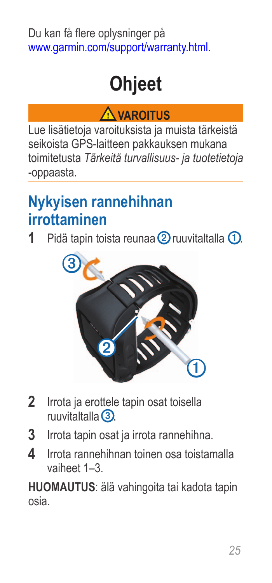#### <span id="page-24-0"></span>Du kan få flere oplysninger på <www.garmin.com/support/warranty.html>.

## **Ohjeet**

#### **Varoitus**

Lue lisätietoja varoituksista ja muista tärkeistä seikoista GPS-laitteen pakkauksen mukana toimitetusta *Tärkeitä turvallisuus- ja tuotetietoja* -oppaasta.

### <span id="page-24-1"></span>**Nykyisen rannehihnan irrottaminen**

1 Pidä tapin toista reunaa 2 ruuvitaltalla 1.



- **2** Irrota ja erottele tapin osat toisella ruuvitaltalla ➌.
- **3** Irrota tapin osat ja irrota rannehihna.
- **4** Irrota rannehihnan toinen osa toistamalla vaiheet 1–3.

**huomautus**: älä vahingoita tai kadota tapin osia.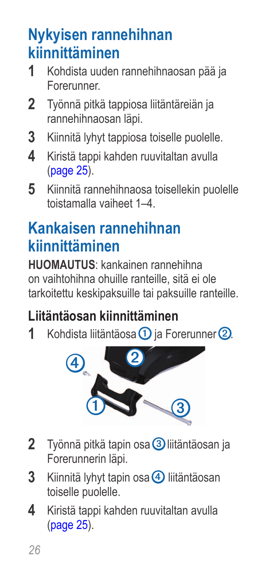## **Nykyisen rannehihnan kiinnittäminen**

- **1** Kohdista uuden rannehihnaosan pää ja Forerunner.
- **2** Työnnä pitkä tappiosa liitäntäreiän ja rannehihnaosan läpi.
- **3** Kiinnitä lyhyt tappiosa toiselle puolelle.
- **4** Kiristä tappi kahden ruuvitaltan avulla [\(page](#page-24-1) 25).
- **5** Kiinnitä rannehihnaosa toisellekin puolelle toistamalla vaiheet 1–4.

## **Kankaisen rannehihnan kiinnittäminen**

**HUOMAUTUS**: kankainen rannehihna on vaihtohihna ohuille ranteille, sitä ei ole tarkoitettu keskipaksuille tai paksuille ranteille.

#### **Liitäntäosan kiinnittäminen**

**1** Kohdista liitäntäosa ① ja Forerunner ②



- **2** Työnnä pitkä tapin osa ➌ liitäntäosan ja Forerunnerin läpi.
- **3** Kiinnitä lyhyt tapin osa 4 liitäntäosan toiselle puolelle.
- **4** Kiristä tappi kahden ruuvitaltan avulla [\(page](#page-24-1) 25).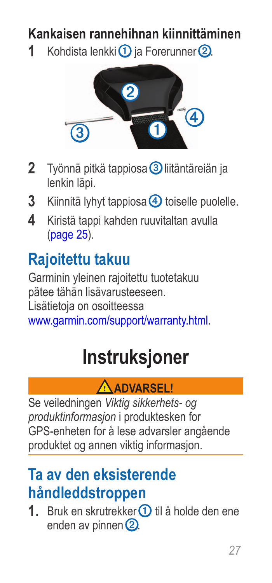#### <span id="page-26-0"></span>**Kankaisen rannehihnan kiinnittäminen**

**1** Kohdista lenkki $\Omega$  ja Forerunner  $\Omega$ 



- **2** Työnnä pitkä tappiosa ➌ liitäntäreiän ja lenkin läpi.
- **3** Kiinnitä lyhyt tappiosa 4 toiselle puolelle.
- **4** Kiristä tappi kahden ruuvitaltan avulla [\(page](#page-24-1) 25).

## **Rajoitettu takuu**

Garminin yleinen rajoitettu tuotetakuu pätee tähän lisävarusteeseen. Lisätietoja on osoitteessa <www.garmin.com/support/warranty.html>.

## **Instruksjoner**

#### **Advarsel!**

Se veiledningen *Viktig sikkerhets- og produktinformasjon* i produktesken for GPS-enheten for å lese advarsler angående produktet og annen viktig informasjon.

### <span id="page-26-1"></span>**Ta av den eksisterende håndleddstroppen**

**1.** Bruk en skrutrekker **①** til å holde den ene enden av pinnen $\Omega$ .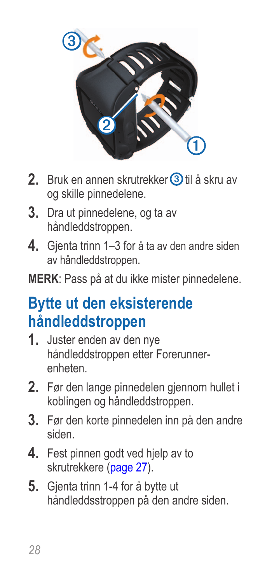

- **2.** Bruk en annen skrutrekker ➌ til å skru av og skille pinnedelene.
- **3.** Dra ut pinnedelene, og ta av håndleddstroppen.
- **4.** Gjenta trinn 1–3 for å ta av den andre siden av håndleddstroppen.

**merk**: Pass på at du ikke mister pinnedelene.

### **Bytte ut den eksisterende håndleddstroppen**

- **1.** Juster enden av den nye håndleddstroppen etter Forerunnerenheten.
- 2. Før den lange pinnedelen gjennom hullet i koblingen og håndleddstroppen.
- **3.** Før den korte pinnedelen inn på den andre siden.
- **4.** Fest pinnen godt ved hjelp av to skrutrekkere [\(page](#page-26-1) 27).
- **5.** Gjenta trinn 1-4 for å bytte ut håndleddsstroppen på den andre siden.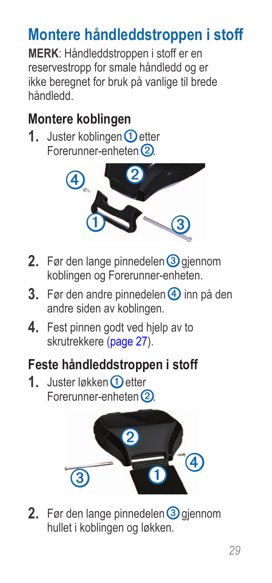## **Montere håndleddstroppen i stoff**

**MERK**: Håndleddstroppen i stoff er en reservestropp for smale håndledd og er ikke beregnet for bruk på vanlige til brede håndledd.

#### **Montere koblingen**

**1.** Juster koblingen **①** etter Forerunner-enheten (2).



- **2.** Før den lange pinnedelen 3 giennom koblingen og Forerunner-enheten.
- **3.** Før den andre pinnedelen <sup>4</sup> inn på den andre siden av koblingen.
- **4.** Fest pinnen godt ved hielp av to skrutrekkere [\(page](#page-26-1) 27).

#### **Feste håndleddstroppen i stoff**

**1.** Juster løkken **D** etter Forerunner-enheten (2)



**2.** Før den lange pinnedelen **3** gjennom hullet i koblingen og løkken.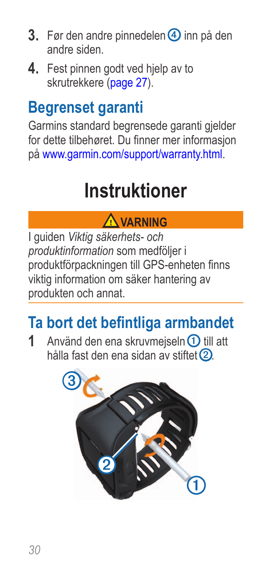- <span id="page-29-0"></span>**3.** Før den andre pinnedelen <sup>4</sup> inn på den andre siden.
- **4.** Fest pinnen godt ved hjelp av to skrutrekkere [\(page](#page-26-1) 27).

## **Begrenset garanti**

Garmins standard begrensede garanti gjelder for dette tilbehøret. Du finner mer informasjon på <www.garmin.com/support/warranty.html>.

## **Instruktioner**

#### **Varning**

I guiden *Viktig säkerhets- och produktinformation* som medföljer i produktförpackningen till GPS-enheten finns viktig information om säker hantering av produkten och annat.

## <span id="page-29-1"></span>**Ta bort det befintliga armbandet**

**1** Använd den ena skruvmeiseln **①** till att hålla fast den ena sidan av stiftet 2

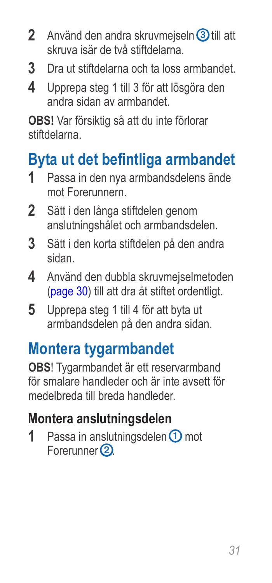- **2** Använd den andra skruvmejseln 3 till att skruva isär de två stiftdelarna.
- **3** Dra ut stiftdelarna och ta loss armbandet.
- **4** Upprepa steg 1 till 3 för att lösgöra den andra sidan av armbandet.

**obs!** Var försiktig så att du inte förlorar stiftdelarna.

## **Byta ut det befintliga armbandet**

- **1** Passa in den nya armbandsdelens ände mot Forerunnern.
- **2** Sätt i den långa stiftdelen genom anslutningshålet och armbandsdelen.
- **3** Sätt i den korta stiftdelen på den andra sidan.
- **4** Använd den dubbla skruvmejselmetoden [\(page](#page-29-1) 30) till att dra åt stiftet ordentligt.
- **5** Upprepa steg 1 till 4 för att byta ut armbandsdelen på den andra sidan.

## **Montera tygarmbandet**

**OBS**! Tygarmbandet är ett reservarmband för smalare handleder och är inte avsett för medelbreda till breda handleder.

#### **Montera anslutningsdelen**

**1** Passa in anslutningsdelen **①** mot Forerunner<sup>(2)</sup>.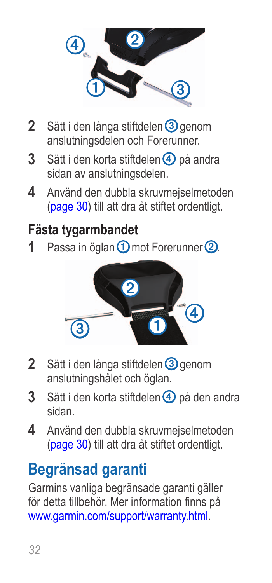

- **2** Sätt i den långa stiftdelen **3** genom anslutningsdelen och Forerunner.
- **3** Sätt i den korta stiftdelen <sup>4</sup> på andra sidan av anslutningsdelen.
- **4** Använd den dubbla skruvmejselmetoden [\(page](#page-29-1) 30) till att dra åt stiftet ordentligt.

#### **Fästa tygarmbandet**

**1** Passa in öglan ① mot Forerunner ②



- **2** Sätt i den långa stiftdelen **③** genom anslutningshålet och öglan.
- **3** Sätt i den korta stiftdelen <sup>4</sup> på den andra sidan.
- **4** Använd den dubbla skruvmejselmetoden [\(page](#page-29-1) 30) till att dra åt stiftet ordentligt.

## **Begränsad garanti**

Garmins vanliga begränsade garanti gäller för detta tillbehör. Mer information finns på <www.garmin.com/support/warranty.html>.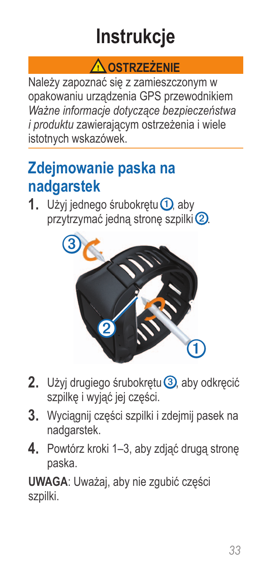## **Instrukcje**

#### **Ostrzeżenie**

<span id="page-32-0"></span>Należy zapoznać się z zamieszczonym w opakowaniu urządzenia GPS przewodnikiem *Ważne informacje dotyczące bezpieczeństwa i produktu* zawierającym ostrzeżenia i wiele istotnych wskazówek.

## <span id="page-32-1"></span>**Zdejmowanie paska na nadgarstek**

1. Użyj jednego śrubokrętu **①**, aby przytrzymać jedną stronę szpilki<sup>2</sup>.



- **2.** Użyj drugiego śrubokrętu ➌, aby odkręcić szpilkę i wyjąć jej części.
- **3.** Wyciągnij części szpilki i zdejmij pasek na nadgarstek.
- **4.** Powtórz kroki 1–3, aby zdjąć drugą stronę paska.

**Uwaga**: Uważaj, aby nie zgubić części szpilki.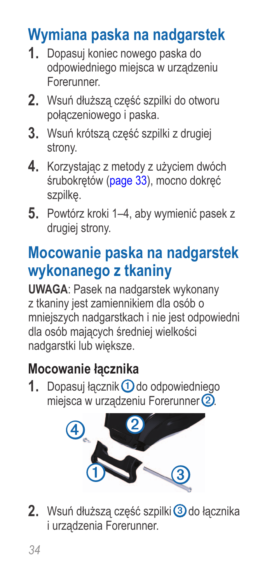## **Wymiana paska na nadgarstek**

- **1.** Dopasuj koniec nowego paska do odpowiedniego miejsca w urządzeniu Forerunner.
- **2.** Wsuń dłuższą część szpilki do otworu połączeniowego i paska.
- **3.** Wsuń krótszą część szpilki z drugiej strony.
- **4.** Korzystając z metody z użyciem dwóch śrubokrętów ([page](#page-32-1) 33), mocno dokręć szpilkę.
- **5.** Powtórz kroki 1–4, aby wymienić pasek z drugiej strony.

## **Mocowanie paska na nadgarstek wykonanego z tkaniny**

**UWAGA**: Pasek na nadgarstek wykonany z tkaniny jest zamiennikiem dla osób o mniejszych nadgarstkach i nie jest odpowiedni dla osób mających średniej wielkości nadgarstki lub większe.

#### **Mocowanie łącznika**

**1.** Dopasuj łącznik ① do odpowiedniego miejsca w urządzeniu Forerunner 2.



**2.** Wsuń dłuższą część szpilki ➌ do łącznika i urządzenia Forerunner.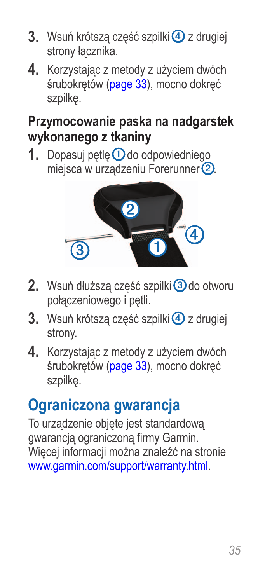- **3.** Wsuń krótszą część szpilki $\overline{4}$  z drugiej strony łącznika.
- **4.** Korzystając z metody z użyciem dwóch śrubokrętów ([page](#page-32-1) 33), mocno dokręć szpilkę.

#### **Przymocowanie paska na nadgarstek wykonanego z tkaniny**

1. Dopasuj pętlę **1** do odpowiedniego miejsca w urządzeniu Forerunner (2)



- 2. Wsuń dłuższą część szpilki<sup>3</sup> do otworu połączeniowego i pętli.
- **3.** Wsuń krótsza część szpilki $\overline{4}$  z drugiej strony.
- **4.** Korzystając z metody z użyciem dwóch śrubokrętów ([page](#page-32-1) 33), mocno dokręć szpilkę.

## **Ograniczona gwarancja**

To urządzenie objęte jest standardową gwarancją ograniczoną firmy Garmin. Więcej informacji można znaleźć na stronie <www.garmin.com/support/warranty.html>.